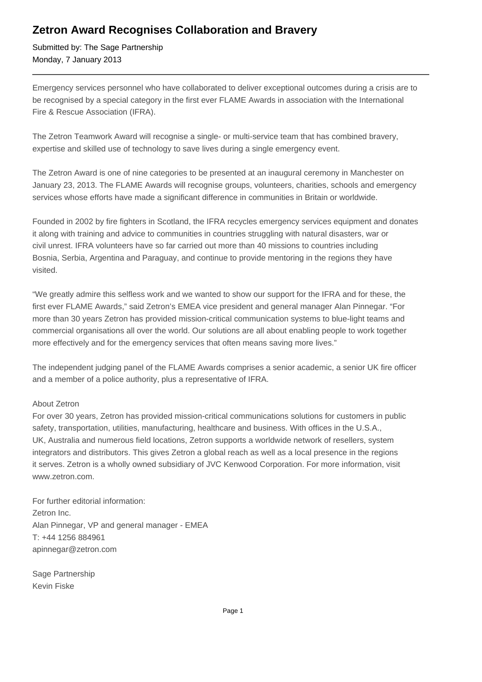## **Zetron Award Recognises Collaboration and Bravery**

Submitted by: The Sage Partnership Monday, 7 January 2013

Emergency services personnel who have collaborated to deliver exceptional outcomes during a crisis are to be recognised by a special category in the first ever FLAME Awards in association with the International Fire & Rescue Association (IFRA).

The Zetron Teamwork Award will recognise a single- or multi-service team that has combined bravery, expertise and skilled use of technology to save lives during a single emergency event.

The Zetron Award is one of nine categories to be presented at an inaugural ceremony in Manchester on January 23, 2013. The FLAME Awards will recognise groups, volunteers, charities, schools and emergency services whose efforts have made a significant difference in communities in Britain or worldwide.

Founded in 2002 by fire fighters in Scotland, the IFRA recycles emergency services equipment and donates it along with training and advice to communities in countries struggling with natural disasters, war or civil unrest. IFRA volunteers have so far carried out more than 40 missions to countries including Bosnia, Serbia, Argentina and Paraguay, and continue to provide mentoring in the regions they have visited.

"We greatly admire this selfless work and we wanted to show our support for the IFRA and for these, the first ever FLAME Awards," said Zetron's EMEA vice president and general manager Alan Pinnegar. "For more than 30 years Zetron has provided mission-critical communication systems to blue-light teams and commercial organisations all over the world. Our solutions are all about enabling people to work together more effectively and for the emergency services that often means saving more lives."

The independent judging panel of the FLAME Awards comprises a senior academic, a senior UK fire officer and a member of a police authority, plus a representative of IFRA.

## About Zetron

For over 30 years, Zetron has provided mission-critical communications solutions for customers in public safety, transportation, utilities, manufacturing, healthcare and business. With offices in the U.S.A., UK, Australia and numerous field locations, Zetron supports a worldwide network of resellers, system integrators and distributors. This gives Zetron a global reach as well as a local presence in the regions it serves. Zetron is a wholly owned subsidiary of JVC Kenwood Corporation. For more information, visit www.zetron.com.

For further editorial information: Zetron Inc. Alan Pinnegar, VP and general manager - EMEA T: +44 1256 884961 apinnegar@zetron.com

Sage Partnership Kevin Fiske